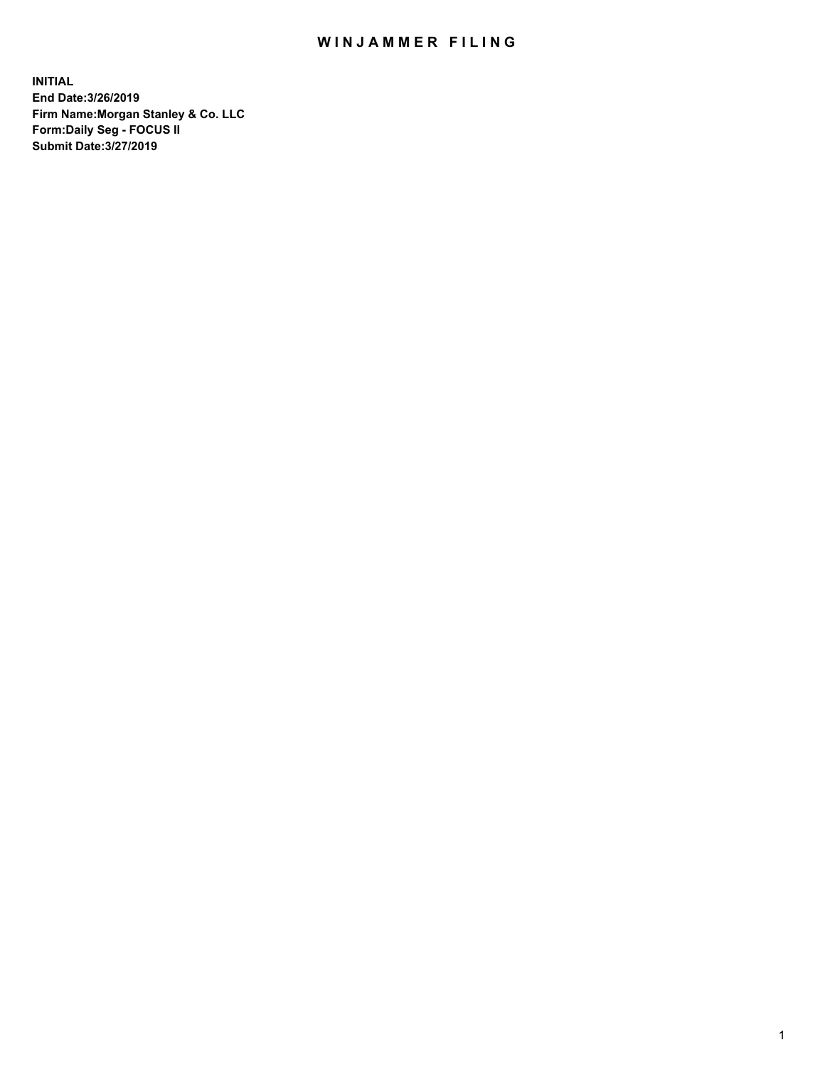## WIN JAMMER FILING

**INITIAL End Date:3/26/2019 Firm Name:Morgan Stanley & Co. LLC Form:Daily Seg - FOCUS II Submit Date:3/27/2019**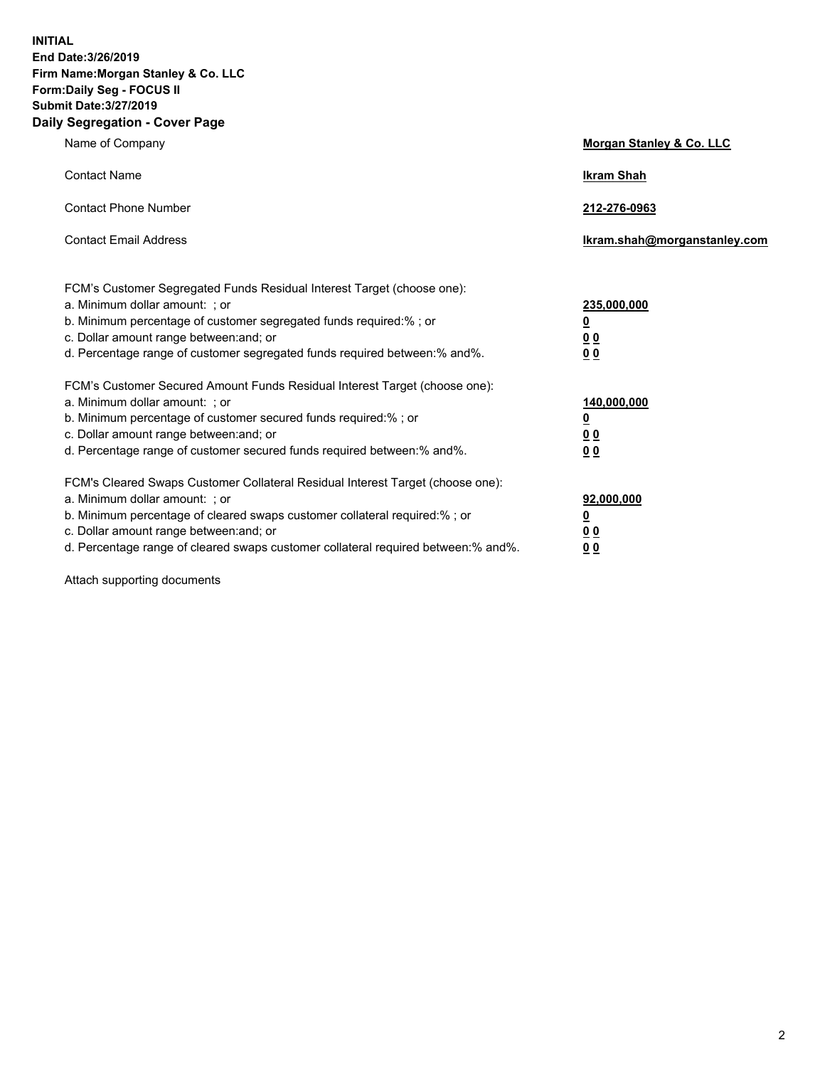**INITIAL End Date:3/26/2019 Firm Name:Morgan Stanley & Co. LLC Form:Daily Seg - FOCUS II Submit Date:3/27/2019 Daily Segregation - Cover Page**

| Name of Company                                                                                                                                                                                                                                                                                                                | Morgan Stanley & Co. LLC                                    |
|--------------------------------------------------------------------------------------------------------------------------------------------------------------------------------------------------------------------------------------------------------------------------------------------------------------------------------|-------------------------------------------------------------|
| <b>Contact Name</b>                                                                                                                                                                                                                                                                                                            | <b>Ikram Shah</b>                                           |
| <b>Contact Phone Number</b>                                                                                                                                                                                                                                                                                                    | 212-276-0963                                                |
| <b>Contact Email Address</b>                                                                                                                                                                                                                                                                                                   | Ikram.shah@morganstanley.com                                |
| FCM's Customer Segregated Funds Residual Interest Target (choose one):<br>a. Minimum dollar amount: ; or<br>b. Minimum percentage of customer segregated funds required:% ; or<br>c. Dollar amount range between: and; or<br>d. Percentage range of customer segregated funds required between:% and%.                         | 235,000,000<br><u>0</u><br>0 <sub>0</sub><br>0 <sub>0</sub> |
| FCM's Customer Secured Amount Funds Residual Interest Target (choose one):<br>a. Minimum dollar amount: ; or<br>b. Minimum percentage of customer secured funds required:%; or<br>c. Dollar amount range between: and; or<br>d. Percentage range of customer secured funds required between:% and%.                            | 140,000,000<br><u>0</u><br>0 <sub>0</sub><br>0 <sub>0</sub> |
| FCM's Cleared Swaps Customer Collateral Residual Interest Target (choose one):<br>a. Minimum dollar amount: ; or<br>b. Minimum percentage of cleared swaps customer collateral required:% ; or<br>c. Dollar amount range between: and; or<br>d. Percentage range of cleared swaps customer collateral required between:% and%. | 92,000,000<br><u>0</u><br><u>0 0</u><br>00                  |

Attach supporting documents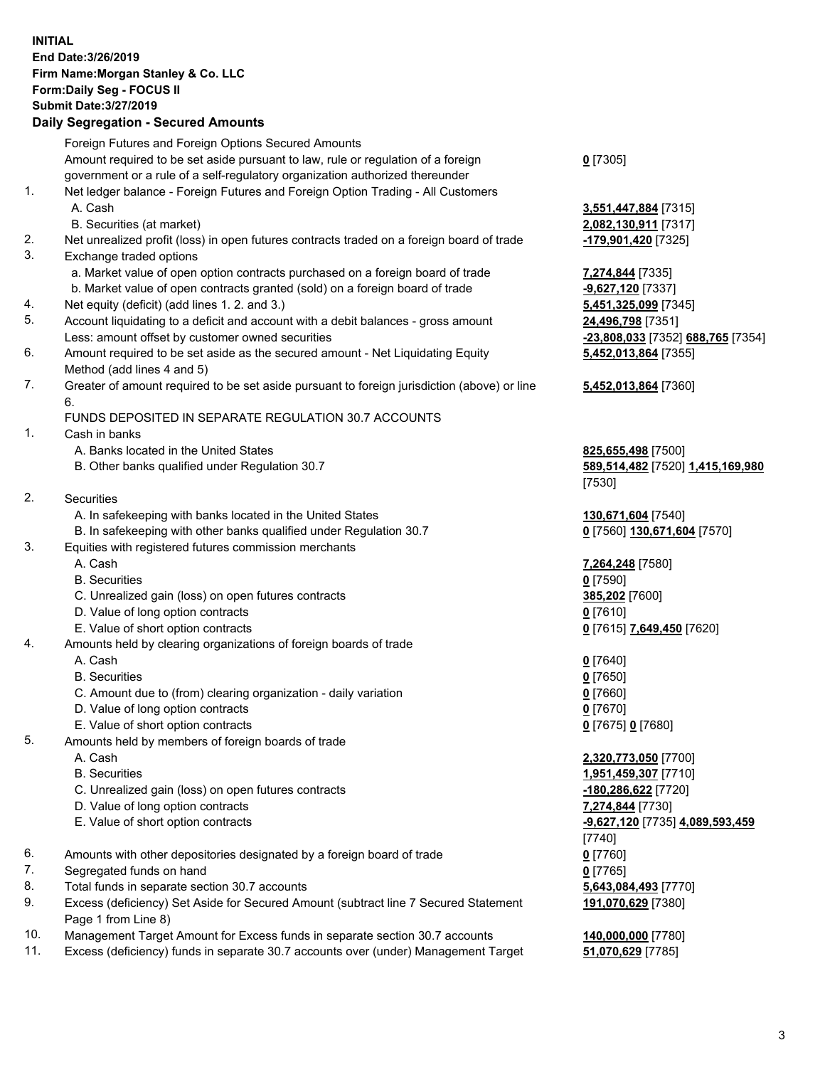## **INITIAL End Date:3/26/2019 Firm Name:Morgan Stanley & Co. LLC Form:Daily Seg - FOCUS II Submit Date:3/27/2019 Daily Segregation - Secured Amounts**

|    | Foreign Futures and Foreign Options Secured Amounts                                         |                            |
|----|---------------------------------------------------------------------------------------------|----------------------------|
|    | Amount required to be set aside pursuant to law, rule or regulation of a foreign            | $0$ [7305]                 |
|    | government or a rule of a self-regulatory organization authorized thereunder                |                            |
| 1. | Net ledger balance - Foreign Futures and Foreign Option Trading - All Customers             |                            |
|    | A. Cash                                                                                     | 3,551,447,884 [7315]       |
|    | B. Securities (at market)                                                                   | 2,082,130,911 [7317]       |
| 2. | Net unrealized profit (loss) in open futures contracts traded on a foreign board of trade   | <u>-179,901,420</u> [7325] |
| 3. | Exchange traded options                                                                     |                            |
|    | a. Market value of open option contracts purchased on a foreign board of trade              | 7,274,844 [7335]           |
|    | b. Market value of open contracts granted (sold) on a foreign board of trade                | -9,627,120 [7337]          |
| 4. | Net equity (deficit) (add lines 1.2. and 3.)                                                | 5,451,325,099 [7345]       |
| 5. | Account liquidating to a deficit and account with a debit balances - gross amount           | 24,496,798 [7351]          |
|    | Less: amount offset by customer owned securities                                            | -23,808,033 [7352] 68      |
| 6. | Amount required to be set aside as the secured amount - Net Liquidating Equity              | 5,452,013,864 [7355]       |
|    | Method (add lines 4 and 5)                                                                  |                            |
| 7. | Greater of amount required to be set aside pursuant to foreign jurisdiction (above) or line | 5,452,013,864 [7360]       |
|    | 6.                                                                                          |                            |
|    | FUNDS DEPOSITED IN SEPARATE REGULATION 30.7 ACCOUNTS                                        |                            |
| 1. | Cash in banks                                                                               |                            |
|    | A. Banks located in the United States                                                       | 825,655,498 [7500]         |
|    | B. Other banks qualified under Regulation 30.7                                              | 589,514,482 [7520] 1       |
|    |                                                                                             | [7530]                     |
| 2. | Securities                                                                                  |                            |
|    | A. In safekeeping with banks located in the United States                                   | 130,671,604 [7540]         |
|    | B. In safekeeping with other banks qualified under Regulation 30.7                          | 0 [7560] 130,671,604       |
| 3. | Equities with registered futures commission merchants                                       |                            |
|    | A. Cash                                                                                     | 7,264,248 [7580]           |
|    | <b>B.</b> Securities                                                                        | $0$ [7590]                 |
|    | C. Unrealized gain (loss) on open futures contracts                                         | 385,202 [7600]             |
|    | D. Value of long option contracts                                                           | $0$ [7610]                 |
|    | E. Value of short option contracts                                                          | 0 [7615] 7,649,450 [7      |
| 4. | Amounts held by clearing organizations of foreign boards of trade                           |                            |
|    | A. Cash                                                                                     | $0$ [7640]                 |
|    | <b>B.</b> Securities                                                                        | $0$ [7650]                 |
|    | C. Amount due to (from) clearing organization - daily variation                             | $0$ [7660]                 |
|    | D. Value of long option contracts                                                           | $0$ [7670]                 |
|    | E. Value of short option contracts                                                          | 0 [7675] 0 [7680]          |
| 5. | Amounts held by members of foreign boards of trade                                          |                            |
|    | A. Cash                                                                                     | 2,320,773,050 [7700]       |
|    | <b>B.</b> Securities                                                                        | 1,951,459,307 [7710]       |
|    | C. Unrealized gain (loss) on open futures contracts                                         | -180,286,622 [7720]        |
|    | D. Value of long option contracts                                                           | 7,274,844 [7730]           |
|    | E. Value of short option contracts                                                          | -9,627,120 [7735] 4,0      |
|    |                                                                                             | [7740]                     |
| 6. | Amounts with other depositories designated by a foreign board of trade                      | $0$ [7760]                 |
| 7. | Segregated funds on hand                                                                    | $0$ [7765]                 |
| 8. | Total funds in separate section 30.7 accounts                                               | 5,643,084,493 [7770]       |
| 9. | Excess (deficiency) Set Aside for Secured Amount (subtract line 7 Secured Statement         | 191,070,629 [7380]         |
|    | Page 1 from Line 8)                                                                         |                            |

- 10. Management Target Amount for Excess funds in separate section 30.7 accounts **140,000,000** [7780]
- 11. Excess (deficiency) funds in separate 30.7 accounts over (under) Management Target **51,070,629** [7785]

8. **130,911** [7317] 20. Net unrealized profit (*1,420* [7325]  $\underline{325,099}$  [7345] **08,033** [7352] **688,765** [7354] **5,452,013,864** [7355]

## **5,452,013,864** [7360]

**55,498** [7500] B. Other banks qualified under Regulation 30.7 **589,514,482** [7520] **1,415,169,980**

**71,604** [7540]  $B[0]$  **130,671,604** [7570]

E. Value of short of short of  $[7620]$ 

 A. Cash **2,320,773,050** [7700] B. Securities **1,951,459,307** [7710] **86,622** [7720] E. Value of short option contracts **-9,627,120** [7735] **4,089,593,459** 084,493 [7770] **191,070,629** [7380]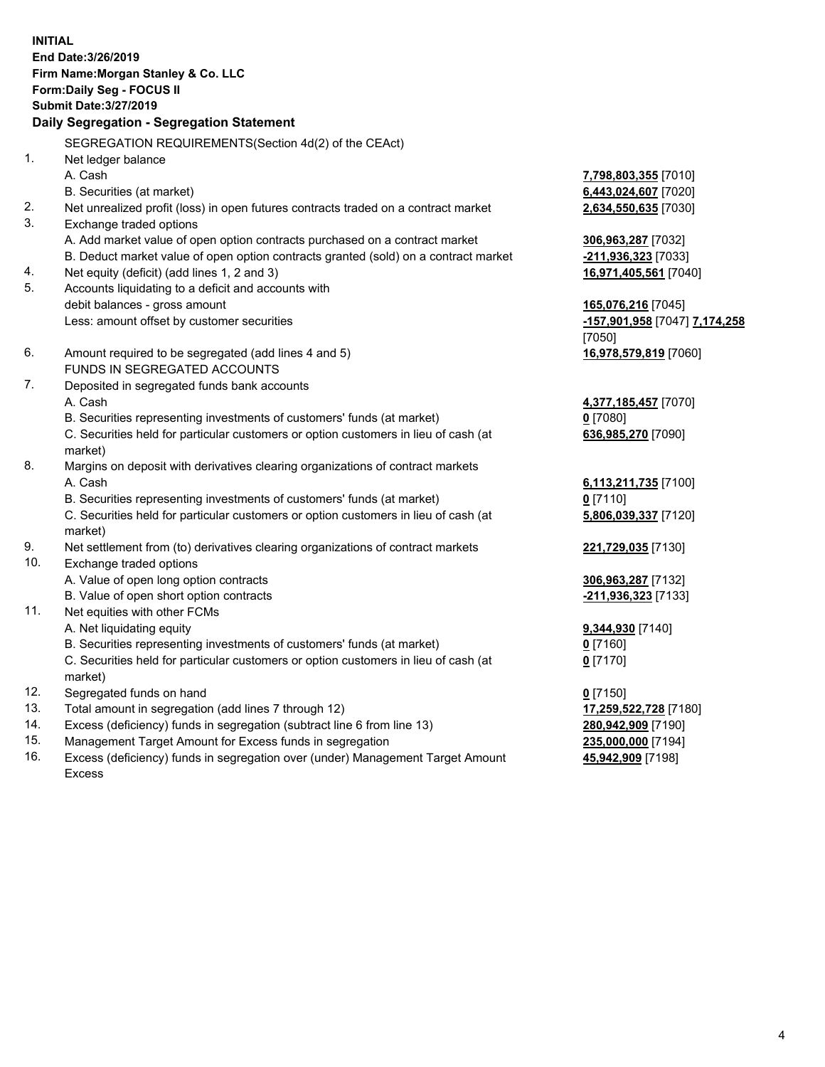**INITIAL End Date:3/26/2019 Firm Name:Morgan Stanley & Co. LLC Form:Daily Seg - FOCUS II Submit Date:3/27/2019 Daily Segregation - Segregation Statement** SEGREGATION REQUIREMENTS(Section 4d(2) of the CEAct) 1. Net ledger balance A. Cash **7,798,803,355** [7010] B. Securities (at market) **6,443,024,607** [7020] 2. Net unrealized profit (loss) in open futures contracts traded on a contract market **2,634,550,635** [7030] 3. Exchange traded options A. Add market value of open option contracts purchased on a contract market **306,963,287** [7032] B. Deduct market value of open option contracts granted (sold) on a contract market **-211,936,323** [7033] 4. Net equity (deficit) (add lines 1, 2 and 3) **16,971,405,561** [7040] 5. Accounts liquidating to a deficit and accounts with debit balances - gross amount **165,076,216** [7045] Less: amount offset by customer securities **-157,901,958** [7047] **7,174,258** [7050] 6. Amount required to be segregated (add lines 4 and 5) **16,978,579,819** [7060] FUNDS IN SEGREGATED ACCOUNTS 7. Deposited in segregated funds bank accounts A. Cash **4,377,185,457** [7070] B. Securities representing investments of customers' funds (at market) **0** [7080] C. Securities held for particular customers or option customers in lieu of cash (at market) **636,985,270** [7090] 8. Margins on deposit with derivatives clearing organizations of contract markets A. Cash **6,113,211,735** [7100] B. Securities representing investments of customers' funds (at market) **0** [7110] C. Securities held for particular customers or option customers in lieu of cash (at market) **5,806,039,337** [7120] 9. Net settlement from (to) derivatives clearing organizations of contract markets **221,729,035** [7130] 10. Exchange traded options A. Value of open long option contracts **306,963,287** [7132] B. Value of open short option contracts **-211,936,323** [7133] 11. Net equities with other FCMs A. Net liquidating equity **9,344,930** [7140] B. Securities representing investments of customers' funds (at market) **0** [7160] C. Securities held for particular customers or option customers in lieu of cash (at market) **0** [7170] 12. Segregated funds on hand **0** [7150] 13. Total amount in segregation (add lines 7 through 12) **17,259,522,728** [7180] 14. Excess (deficiency) funds in segregation (subtract line 6 from line 13) **280,942,909** [7190]

- 15. Management Target Amount for Excess funds in segregation **235,000,000** [7194]
- 16. Excess (deficiency) funds in segregation over (under) Management Target Amount Excess

**45,942,909** [7198]